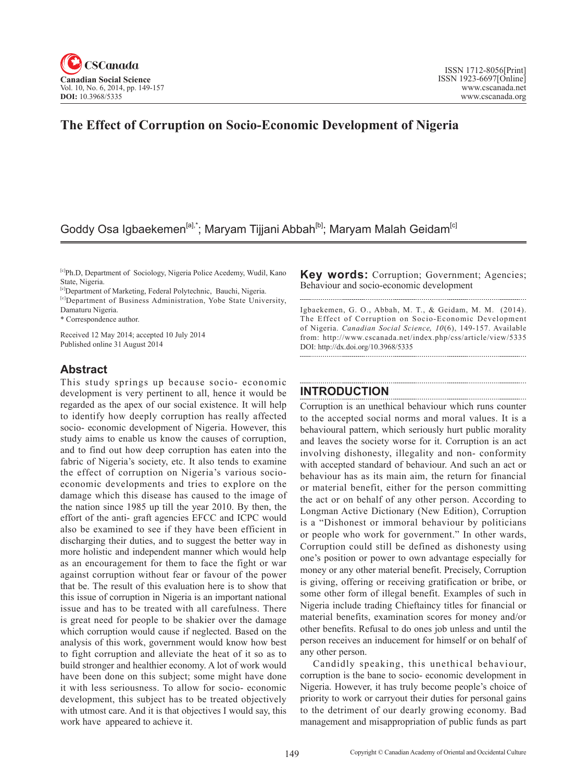

# **The Effect of Corruption on Socio-Economic Development of Nigeria**

## Goddy Osa Igbaekemen<sup>[a],\*</sup>; Maryam Tijjani Abbah<sup>[b]</sup>; Maryam Malah Geidam<sup>[c]</sup>

[c]Ph.D, Department of Sociology, Nigeria Police Acedemy, Wudil, Kano State, Nigeria.

[c]Department of Marketing, Federal Polytechnic, Bauchi, Nigeria.

[c]Department of Business Administration, Yobe State University, Damaturu Nigeria.

\* Correspondence author.

Received 12 May 2014; accepted 10 July 2014 Published online 31 August 2014

## **Abstract**

This study springs up because socio- economic development is very pertinent to all, hence it would be regarded as the apex of our social existence. It will help to identify how deeply corruption has really affected socio- economic development of Nigeria. However, this study aims to enable us know the causes of corruption, and to find out how deep corruption has eaten into the fabric of Nigeria's society, etc. It also tends to examine the effect of corruption on Nigeria's various socioeconomic developments and tries to explore on the damage which this disease has caused to the image of the nation since 1985 up till the year 2010. By then, the effort of the anti- graft agencies EFCC and ICPC would also be examined to see if they have been efficient in discharging their duties, and to suggest the better way in more holistic and independent manner which would help as an encouragement for them to face the fight or war against corruption without fear or favour of the power that be. The result of this evaluation here is to show that this issue of corruption in Nigeria is an important national issue and has to be treated with all carefulness. There is great need for people to be shakier over the damage which corruption would cause if neglected. Based on the analysis of this work, government would know how best to fight corruption and alleviate the heat of it so as to build stronger and healthier economy. A lot of work would have been done on this subject; some might have done it with less seriousness. To allow for socio- economic development, this subject has to be treated objectively with utmost care. And it is that objectives I would say, this work have appeared to achieve it.

**Key words:** Corruption; Government; Agencies; Behaviour and socio-economic development

Igbaekemen, G. O., Abbah, M. T., & Geidam, M. M. (2014). The Effect of Corruption on Socio-Economic Development of Nigeria. *Canadian Social Science*, 10(6), 149-157. Available from: http://www.cscanada.net/index.php/css/article/view/5335 DOI: http://dx.doi.org/10.3968/5335 

## **INTRODUCTION**

Corruption is an unethical behaviour which runs counter to the accepted social norms and moral values. It is a behavioural pattern, which seriously hurt public morality and leaves the society worse for it. Corruption is an act involving dishonesty, illegality and non- conformity with accepted standard of behaviour. And such an act or behaviour has as its main aim, the return for financial or material benefit, either for the person committing the act or on behalf of any other person. According to Longman Active Dictionary (New Edition), Corruption is a "Dishonest or immoral behaviour by politicians or people who work for government." In other wards, Corruption could still be defined as dishonesty using one's position or power to own advantage especially for money or any other material benefit. Precisely, Corruption is giving, offering or receiving gratification or bribe, or some other form of illegal benefit. Examples of such in Nigeria include trading Chieftaincy titles for financial or material benefits, examination scores for money and/or other benefits. Refusal to do ones job unless and until the person receives an inducement for himself or on behalf of any other person.

Candidly speaking, this unethical behaviour, corruption is the bane to socio- economic development in Nigeria. However, it has truly become people's choice of priority to work or carryout their duties for personal gains to the detriment of our dearly growing economy. Bad management and misappropriation of public funds as part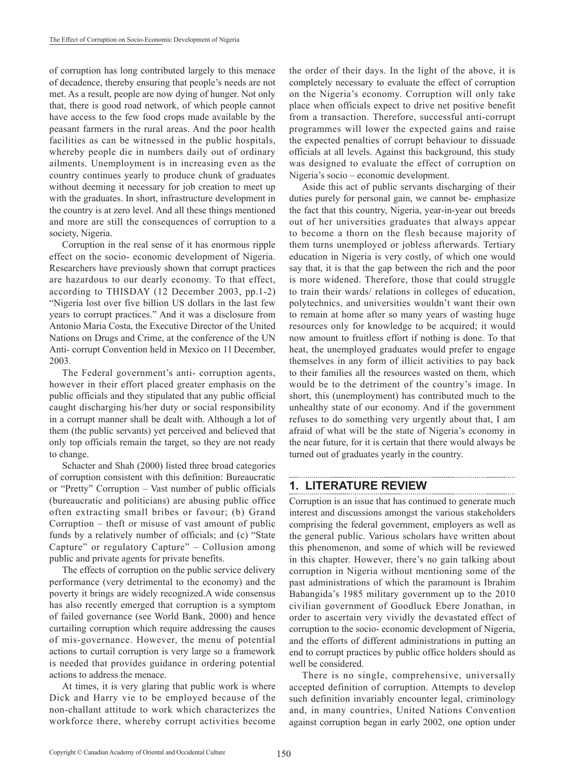of corruption has long contributed largely to this menace of decadence, thereby ensuring that people's needs are not met. As a result, people are now dying of hunger. Not only that, there is good road network, of which people cannot have access to the few food crops made available by the peasant farmers in the rural areas. And the poor health facilities as can be witnessed in the public hospitals, whereby people die in numbers daily out of ordinary ailments. Unemployment is in increasing even as the country continues yearly to produce chunk of graduates without deeming it necessary for job creation to meet up with the graduates. In short, infrastructure development in the country is at zero level. And all these things mentioned and more are still the consequences of corruption to a society, Nigeria.

Corruption in the real sense of it has enormous ripple effect on the socio- economic development of Nigeria. Researchers have previously shown that corrupt practices are hazardous to our dearly economy. To that effect, according to THISDAY (12 December 2003, pp.1-2) "Nigeria lost over five billion US dollars in the last few years to corrupt practices." And it was a disclosure from Antonio Maria Costa, the Executive Director of the United Nations on Drugs and Crime, at the conference of the UN Anti- corrupt Convention held in Mexico on 11December, 2003.

The Federal government's anti- corruption agents, however in their effort placed greater emphasis on the public officials and they stipulated that any public official caught discharging his/her duty or social responsibility in a corrupt manner shall be dealt with. Although a lot of them (the public servants) yet perceived and believed that only top officials remain the target, so they are not ready to change.

Schacter and Shah (2000) listed three broad categories of corruption consistent with this definition: Bureaucratic or "Pretty" Corruption – Vast number of public officials (bureaucratic and politicians) are abusing public office often extracting small bribes or favour; (b) Grand Corruption – theft or misuse of vast amount of public funds by a relatively number of officials; and (c) "State Capture" or regulatory Capture" – Collusion among public and private agents for private benefits.

The effects of corruption on the public service delivery performance (very detrimental to the economy) and the poverty it brings are widely recognized.A wide consensus has also recently emerged that corruption is a symptom of failed governance (see World Bank, 2000) and hence curtailing corruption which require addressing the causes of mis-governance. However, the menu of potential actions to curtail corruption is very large so a framework is needed that provides guidance in ordering potential actions to address the menace.

At times, it is very glaring that public work is where Dick and Harry vie to be employed because of the non-challant attitude to work which characterizes the workforce there, whereby corrupt activities become the order of their days. In the light of the above, it is completely necessary to evaluate the effect of corruption on the Nigeria's economy. Corruption will only take place when officials expect to drive net positive benefit from a transaction. Therefore, successful anti-corrupt programmes will lower the expected gains and raise the expected penalties of corrupt behaviour to dissuade officials at all levels. Against this background, this study was designed to evaluate the effect of corruption on Nigeria's socio – economic development.

Aside this act of public servants discharging of their duties purely for personal gain, we cannot be- emphasize the fact that this country, Nigeria, year-in-year out breeds out of her universities graduates that always appear to become a thorn on the flesh because majority of them turns unemployed or jobless afterwards. Tertiary education in Nigeria is very costly, of which one would say that, it is that the gap between the rich and the poor is more widened. Therefore, those that could struggle to train their wards/ relations in colleges of education, polytechnics, and universities wouldn't want their own to remain at home after so many years of wasting huge resources only for knowledge to be acquired; it would now amount to fruitless effort if nothing is done. To that heat, the unemployed graduates would prefer to engage themselves in any form of illicit activities to pay back to their families all the resources wasted on them, which would be to the detriment of the country's image. In short, this (unemployment) has contributed much to the unhealthy state of our economy. And if the government refuses to do something very urgently about that, I am afraid of what will be the state of Nigeria's economy in the near future, for it is certain that there would always be turned out of graduates yearly in the country.

#### **1. LITERATURE REVIEW**

Corruption is an issue that has continued to generate much interest and discussions amongst the various stakeholders comprising the federal government, employers as well as the general public. Various scholars have written about this phenomenon, and some of which will be reviewed in this chapter. However, there's no gain talking about corruption in Nigeria without mentioning some of the past administrations of which the paramount is Ibrahim Babangida's 1985 military government up to the 2010 civilian government of Goodluck Ebere Jonathan, in order to ascertain very vividly the devastated effect of corruption to the socio- economic development of Nigeria, and the efforts of different administrations in putting an end to corrupt practices by public office holders should as well be considered.

There is no single, comprehensive, universally accepted definition of corruption. Attempts to develop such definition invariably encounter legal, criminology and, in many countries, United Nations Convention against corruption began in early 2002, one option under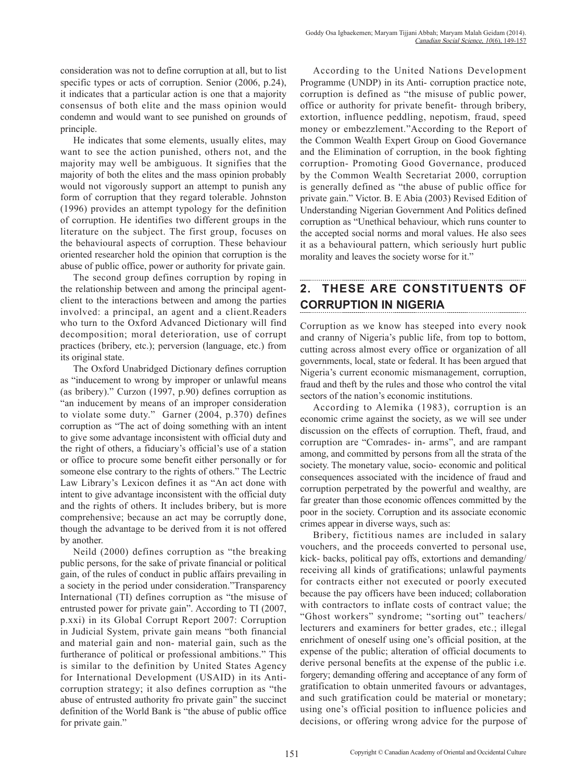consideration was not to define corruption at all, but to list specific types or acts of corruption. Senior (2006, p.24), it indicates that a particular action is one that a majority consensus of both elite and the mass opinion would condemn and would want to see punished on grounds of principle.

He indicates that some elements, usually elites, may want to see the action punished, others not, and the majority may well be ambiguous. It signifies that the majority of both the elites and the mass opinion probably would not vigorously support an attempt to punish any form of corruption that they regard tolerable. Johnston (1996) provides an attempt typology for the definition of corruption. He identifies two different groups in the literature on the subject. The first group, focuses on the behavioural aspects of corruption. These behaviour oriented researcher hold the opinion that corruption is the abuse of public office, power or authority for private gain.

The second group defines corruption by roping in the relationship between and among the principal agentclient to the interactions between and among the parties involved: a principal, an agent and a client.Readers who turn to the Oxford Advanced Dictionary will find decomposition; moral deterioration, use of corrupt practices (bribery, etc.); perversion (language, etc.) from its original state.

The Oxford Unabridged Dictionary defines corruption as "inducement to wrong by improper or unlawful means (as bribery)." Curzon (1997, p.90) defines corruption as "an inducement by means of an improper consideration to violate some duty." Garner (2004, p.370) defines corruption as "The act of doing something with an intent to give some advantage inconsistent with official duty and the right of others, a fiduciary's official's use of a station or office to procure some benefit either personally or for someone else contrary to the rights of others." The Lectric Law Library's Lexicon defines it as "An act done with intent to give advantage inconsistent with the official duty and the rights of others. It includes bribery, but is more comprehensive; because an act may be corruptly done, though the advantage to be derived from it is not offered by another.

Neild (2000) defines corruption as "the breaking public persons, for the sake of private financial or political gain, of the rules of conduct in public affairs prevailing in a society in the period under consideration."Transparency International (TI) defines corruption as "the misuse of entrusted power for private gain". According to TI (2007, p.xxi) in its Global Corrupt Report 2007: Corruption in Judicial System, private gain means "both financial and material gain and non- material gain, such as the furtherance of political or professional ambitions." This is similar to the definition by United States Agency for International Development (USAID) in its Anticorruption strategy; it also defines corruption as "the abuse of entrusted authority fro private gain" the succinct definition of the World Bank is "the abuse of public office for private gain."

According to the United Nations Development Programme (UNDP) in its Anti- corruption practice note, corruption is defined as "the misuse of public power, office or authority for private benefit- through bribery, extortion, influence peddling, nepotism, fraud, speed money or embezzlement."According to the Report of the Common Wealth Expert Group on Good Governance and the Elimination of corruption, in the book fighting corruption- Promoting Good Governance, produced by the Common Wealth Secretariat 2000, corruption is generally defined as "the abuse of public office for private gain." Victor. B. E Abia (2003) Revised Edition of Understanding Nigerian Government And Politics defined corruption as "Unethical behaviour, which runs counter to the accepted social norms and moral values. He also sees it as a behavioural pattern, which seriously hurt public morality and leaves the society worse for it."

## **2. THESE ARE CONSTITUENTS OF CORRUPTION IN NIGERIA**

Corruption as we know has steeped into every nook and cranny of Nigeria's public life, from top to bottom, cutting across almost every office or organization of all governments, local, state or federal. It has been argued that Nigeria's current economic mismanagement, corruption, fraud and theft by the rules and those who control the vital sectors of the nation's economic institutions.

According to Alemika (1983), corruption is an economic crime against the society, as we will see under discussion on the effects of corruption. Theft, fraud, and corruption are "Comrades- in- arms", and are rampant among, and committed by persons from all the strata of the society. The monetary value, socio- economic and political consequences associated with the incidence of fraud and corruption perpetrated by the powerful and wealthy, are far greater than those economic offences committed by the poor in the society. Corruption and its associate economic crimes appear in diverse ways, such as:

Bribery, fictitious names are included in salary vouchers, and the proceeds converted to personal use, kick- backs, political pay offs, extortions and demanding/ receiving all kinds of gratifications; unlawful payments for contracts either not executed or poorly executed because the pay officers have been induced; collaboration with contractors to inflate costs of contract value; the "Ghost workers" syndrome; "sorting out" teachers/ lecturers and examiners for better grades, etc.; illegal enrichment of oneself using one's official position, at the expense of the public; alteration of official documents to derive personal benefits at the expense of the public i.e. forgery; demanding offering and acceptance of any form of gratification to obtain unmerited favours or advantages, and such gratification could be material or monetary; using one's official position to influence policies and decisions, or offering wrong advice for the purpose of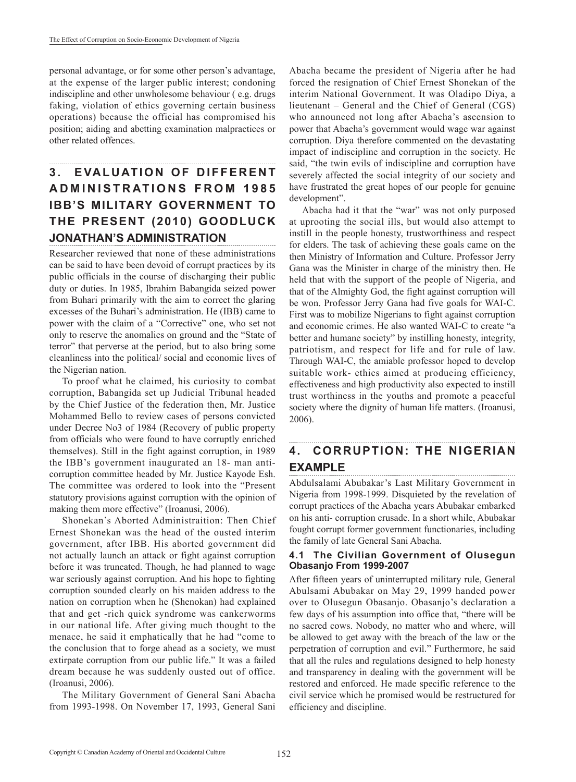personal advantage, or for some other person's advantage, at the expense of the larger public interest; condoning indiscipline and other unwholesome behaviour ( e.g. drugs faking, violation of ethics governing certain business operations) because the official has compromised his position; aiding and abetting examination malpractices or other related offences.

# **3. EVALUATION OF DIFFERENT A D M I N I S T R AT I O N S F R O M 1 9 8 5 IBB'S MILITARY GOVERNMENT TO THE PRESENT (2010) GOODLUCK JONATHAN'S ADMINISTRATION**

Researcher reviewed that none of these administrations can be said to have been devoid of corrupt practices by its public officials in the course of discharging their public duty or duties. In 1985, Ibrahim Babangida seized power from Buhari primarily with the aim to correct the glaring excesses of the Buhari's administration. He (IBB) came to power with the claim of a "Corrective" one, who set not only to reserve the anomalies on ground and the "State of terror" that perverse at the period, but to also bring some cleanliness into the political/ social and economic lives of the Nigerian nation.

To proof what he claimed, his curiosity to combat corruption, Babangida set up Judicial Tribunal headed by the Chief Justice of the federation then, Mr. Justice Mohammed Bello to review cases of persons convicted under Decree No3 of 1984 (Recovery of public property from officials who were found to have corruptly enriched themselves). Still in the fight against corruption, in 1989 the IBB's government inaugurated an 18- man anticorruption committee headed by Mr. Justice Kayode Esh. The committee was ordered to look into the "Present statutory provisions against corruption with the opinion of making them more effective" (Iroanusi, 2006).

Shonekan's Aborted Administraition: Then Chief Ernest Shonekan was the head of the ousted interim government, after IBB. His aborted government did not actually launch an attack or fight against corruption before it was truncated. Though, he had planned to wage war seriously against corruption. And his hope to fighting corruption sounded clearly on his maiden address to the nation on corruption when he (Shenokan) had explained that and get -rich quick syndrome was cankerworms in our national life. After giving much thought to the menace, he said it emphatically that he had "come to the conclusion that to forge ahead as a society, we must extirpate corruption from our public life." It was a failed dream because he was suddenly ousted out of office. (Iroanusi, 2006).

The Military Government of General Sani Abacha from 1993-1998. On November 17, 1993, General Sani

Abacha became the president of Nigeria after he had forced the resignation of Chief Ernest Shonekan of the interim National Government. It was Oladipo Diya, a lieutenant – General and the Chief of General (CGS) who announced not long after Abacha's ascension to power that Abacha's government would wage war against corruption. Diya therefore commented on the devastating impact of indiscipline and corruption in the society. He said, "the twin evils of indiscipline and corruption have severely affected the social integrity of our society and have frustrated the great hopes of our people for genuine development".

Abacha had it that the "war" was not only purposed at uprooting the social ills, but would also attempt to instill in the people honesty, trustworthiness and respect for elders. The task of achieving these goals came on the then Ministry of Information and Culture. Professor Jerry Gana was the Minister in charge of the ministry then. He held that with the support of the people of Nigeria, and that of the Almighty God, the fight against corruption will be won. Professor Jerry Gana had five goals for WAI-C. First was to mobilize Nigerians to fight against corruption and economic crimes. He also wanted WAI-C to create "a better and humane society" by instilling honesty, integrity, patriotism, and respect for life and for rule of law. Through WAI-C, the amiable professor hoped to develop suitable work- ethics aimed at producing efficiency, effectiveness and high productivity also expected to instill trust worthiness in the youths and promote a peaceful society where the dignity of human life matters. (Iroanusi, 2006).

# **4. CORRUPTION: THE NIGERIAN EXAMPLE**

Abdulsalami Abubakar's Last Military Government in Nigeria from 1998-1999. Disquieted by the revelation of corrupt practices of the Abacha years Abubakar embarked on his anti- corruption crusade. In a short while, Abubakar fought corrupt former government functionaries, including the family of late General Sani Abacha.

#### **4.1 The Civilian Government of Olusegun Obasanjo From 1999-2007**

After fifteen years of uninterrupted military rule, General Abulsami Abubakar on May 29, 1999 handed power over to Olusegun Obasanjo. Obasanjo's declaration a few days of his assumption into office that, "there will be no sacred cows. Nobody, no matter who and where, will be allowed to get away with the breach of the law or the perpetration of corruption and evil." Furthermore, he said that all the rules and regulations designed to help honesty and transparency in dealing with the government will be restored and enforced. He made specific reference to the civil service which he promised would be restructured for efficiency and discipline.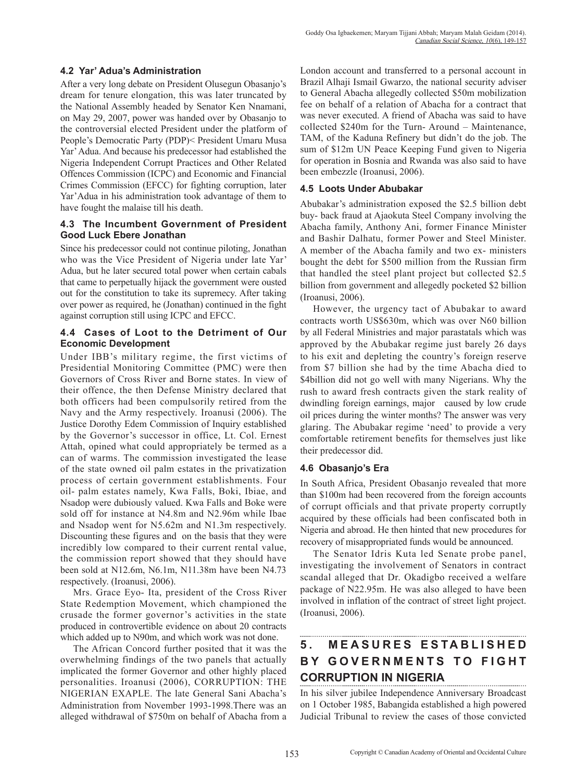### **4.2 Yar' Adua's Administration**

After a very long debate on President Olusegun Obasanjo's dream for tenure elongation, this was later truncated by the National Assembly headed by Senator Ken Nnamani, on May 29, 2007, power was handed over by Obasanjo to the controversial elected President under the platform of People's Democratic Party (PDP)< President Umaru Musa Yar' Adua. And because his predecessor had established the Nigeria Independent Corrupt Practices and Other Related Offences Commission (ICPC) and Economic and Financial Crimes Commission (EFCC) for fighting corruption, later Yar'Adua in his administration took advantage of them to have fought the malaise till his death.

### **4.3 The Incumbent Government of President Good Luck Ebere Jonathan**

Since his predecessor could not continue piloting, Jonathan who was the Vice President of Nigeria under late Yar' Adua, but he later secured total power when certain cabals that came to perpetually hijack the government were ousted out for the constitution to take its supremecy. After taking over power as required, he (Jonathan) continued in the fight against corruption still using ICPC and EFCC.

### **4.4 Cases of Loot to the Detriment of Our Economic Development**

Under IBB's military regime, the first victims of Presidential Monitoring Committee (PMC) were then Governors of Cross River and Borne states. In view of their offence, the then Defense Ministry declared that both officers had been compulsorily retired from the Navy and the Army respectively. Iroanusi (2006). The Justice Dorothy Edem Commission of Inquiry established by the Governor's successor in office, Lt. Col. Ernest Attah, opined what could appropriately be termed as a can of warms. The commission investigated the lease of the state owned oil palm estates in the privatization process of certain government establishments. Four oil- palm estates namely, Kwa Falls, Boki, Ibiae, and Nsadop were dubiously valued. Kwa Falls and Boke were sold off for instance at N4.8m and N2.96m while Ibae and Nsadop went for N5.62m and N1.3m respectively. Discounting these figures and on the basis that they were incredibly low compared to their current rental value, the commission report showed that they should have been sold at N12.6m, N6.1m, N11.38m have been N4.73 respectively. (Iroanusi, 2006).

Mrs. Grace Eyo- Ita, president of the Cross River State Redemption Movement, which championed the crusade the former governor's activities in the state produced in controvertible evidence on about 20 contracts which added up to N90m, and which work was not done.

The African Concord further posited that it was the overwhelming findings of the two panels that actually implicated the former Governor and other highly placed personalities. Iroanusi (2006), CORRUPTION: THE NIGERIAN EXAPLE. The late General Sani Abacha's Administration from November 1993-1998.There was an alleged withdrawal of \$750m on behalf of Abacha from a

London account and transferred to a personal account in Brazil Alhaji Ismail Gwarzo, the national security adviser to General Abacha allegedly collected \$50m mobilization fee on behalf of a relation of Abacha for a contract that was never executed. A friend of Abacha was said to have collected \$240m for the Turn- Around – Maintenance, TAM, of the Kaduna Refinery but didn't do the job. The sum of \$12m UN Peace Keeping Fund given to Nigeria for operation in Bosnia and Rwanda was also said to have been embezzle (Iroanusi, 2006).

### **4.5 Loots Under Abubakar**

Abubakar's administration exposed the \$2.5 billion debt buy- back fraud at Ajaokuta Steel Company involving the Abacha family, Anthony Ani, former Finance Minister and Bashir Dalhatu, former Power and Steel Minister. A member of the Abacha family and two ex- ministers bought the debt for \$500 million from the Russian firm that handled the steel plant project but collected \$2.5 billion from government and allegedly pocketed \$2 billion (Iroanusi, 2006).

However, the urgency tact of Abubakar to award contracts worth US\$630m, which was over N60 billion by all Federal Ministries and major parastatals which was approved by the Abubakar regime just barely 26 days to his exit and depleting the country's foreign reserve from \$7 billion she had by the time Abacha died to \$4billion did not go well with many Nigerians. Why the rush to award fresh contracts given the stark reality of dwindling foreign earnings, major caused by low crude oil prices during the winter months? The answer was very glaring. The Abubakar regime 'need' to provide a very comfortable retirement benefits for themselves just like their predecessor did.

### **4.6 Obasanjo's Era**

In South Africa, President Obasanjo revealed that more than \$100m had been recovered from the foreign accounts of corrupt officials and that private property corruptly acquired by these officials had been confiscated both in Nigeria and abroad. He then hinted that new procedures for recovery of misappropriated funds would be announced.

The Senator Idris Kuta led Senate probe panel, investigating the involvement of Senators in contract scandal alleged that Dr. Okadigbo received a welfare package of N22.95m. He was also alleged to have been involved in inflation of the contract of street light project. (Iroanusi, 2006).

#### **5 . M E A S U R E S E S TA B L I S H E D BY GOVERNMENTS TO FIGHT CORRUPTION IN NIGERIA**

In his silver jubilee Independence Anniversary Broadcast on 1 October 1985, Babangida established a high powered Judicial Tribunal to review the cases of those convicted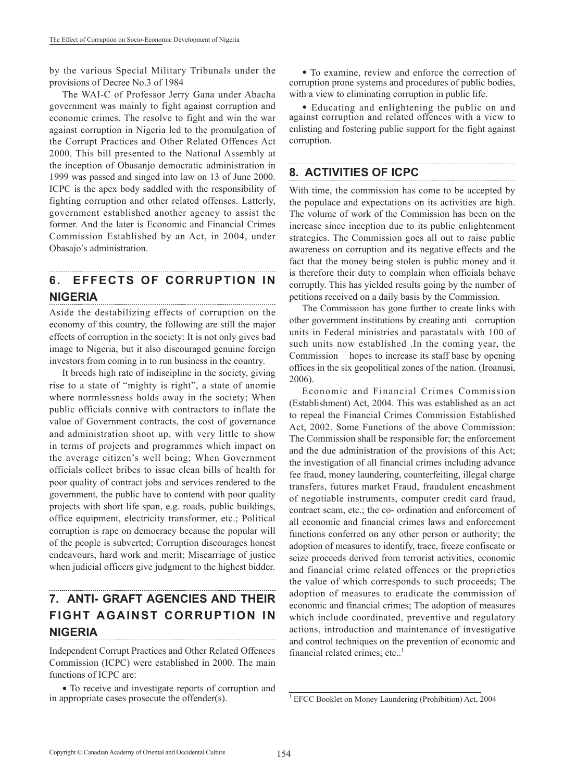by the various Special Military Tribunals under the provisions of Decree No.3 of 1984

The WAI-C of Professor Jerry Gana under Abacha government was mainly to fight against corruption and economic crimes. The resolve to fight and win the war against corruption in Nigeria led to the promulgation of the Corrupt Practices and Other Related Offences Act 2000. This bill presented to the National Assembly at the inception of Obasanjo democratic administration in 1999 was passed and singed into law on 13 of June 2000. ICPC is the apex body saddled with the responsibility of fighting corruption and other related offenses. Latterly, government established another agency to assist the former. And the later is Economic and Financial Crimes Commission Established by an Act, in 2004, under Obasajo's administration.

#### **6. EFFECTS OF CORRUPTION IN NIGERIA**

Aside the destabilizing effects of corruption on the economy of this country, the following are still the major effects of corruption in the society: It is not only gives bad image to Nigeria, but it also discouraged genuine foreign investors from coming in to run business in the country.

It breeds high rate of indiscipline in the society, giving rise to a state of "mighty is right", a state of anomie where normlessness holds away in the society; When public officials connive with contractors to inflate the value of Government contracts, the cost of governance and administration shoot up, with very little to show in terms of projects and programmes which impact on the average citizen's well being; When Government officials collect bribes to issue clean bills of health for poor quality of contract jobs and services rendered to the government, the public have to contend with poor quality projects with short life span, e.g. roads, public buildings, office equipment, electricity transformer, etc.; Political corruption is rape on democracy because the popular will of the people is subverted; Corruption discourages honest endeavours, hard work and merit; Miscarriage of justice when judicial officers give judgment to the highest bidder.

# **7. ANTI- GRAFT AGENCIES AND THEIR FIGHT AGAINST CORRUPTION IN NIGERIA**

Independent Corrupt Practices and Other Related Offences Commission (ICPC) were established in 2000. The main functions of ICPC are:

• To receive and investigate reports of corruption and in appropriate cases prosecute the offender(s).

• To examine, review and enforce the correction of corruption prone systems and procedures of public bodies, with a view to eliminating corruption in public life.

• Educating and enlightening the public on and against corruption and related offences with a view to enlisting and fostering public support for the fight against corruption.

## **8. ACTIVITIES OF ICPC**

With time, the commission has come to be accepted by the populace and expectations on its activities are high. The volume of work of the Commission has been on the increase since inception due to its public enlightenment strategies. The Commission goes all out to raise public awareness on corruption and its negative effects and the fact that the money being stolen is public money and it is therefore their duty to complain when officials behave corruptly. This has yielded results going by the number of petitions received on a daily basis by the Commission.

The Commission has gone further to create links with other government institutions by creating anti corruption units in Federal ministries and parastatals with 100 of such units now established .In the coming year, the Commission hopes to increase its staff base by opening offices in the six geopolitical zones of the nation. (Iroanusi, 2006).

Economic and Financial Crimes Commission (Establishment) Act, 2004. This was established as an act to repeal the Financial Crimes Commission Established Act, 2002. Some Functions of the above Commission: The Commission shall be responsible for; the enforcement and the due administration of the provisions of this Act; the investigation of all financial crimes including advance fee fraud, money laundering, counterfeiting, illegal charge transfers, futures market Fraud, fraudulent encashment of negotiable instruments, computer credit card fraud, contract scam, etc.; the co- ordination and enforcement of all economic and financial crimes laws and enforcement functions conferred on any other person or authority; the adoption of measures to identify, trace, freeze confiscate or seize proceeds derived from terrorist activities, economic and financial crime related offences or the proprieties the value of which corresponds to such proceeds; The adoption of measures to eradicate the commission of economic and financial crimes; The adoption of measures which include coordinated, preventive and regulatory actions, introduction and maintenance of investigative and control techniques on the prevention of economic and financial related crimes; etc..1

<sup>&</sup>lt;sup>1</sup> EFCC Booklet on Money Laundering (Prohibition) Act, 2004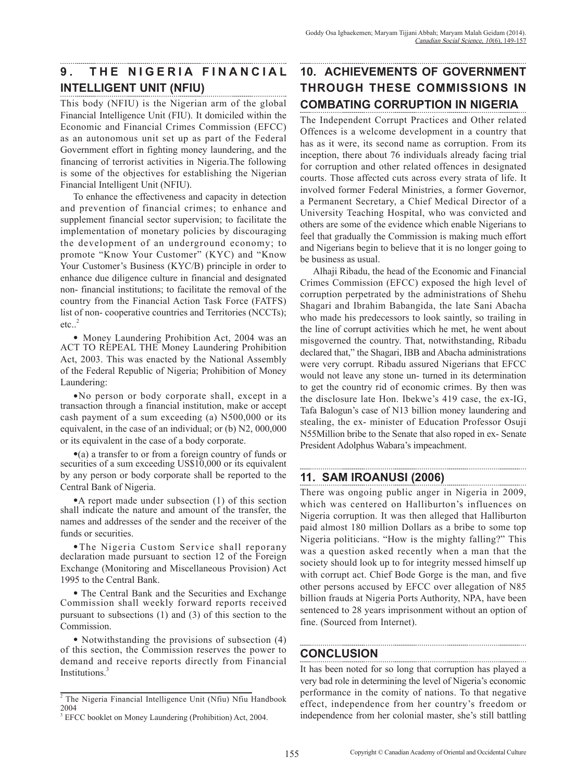# **9. THE NIGERIA FINANCIAL INTELLIGENT UNIT (NFIU)**

This body (NFIU) is the Nigerian arm of the global Financial Intelligence Unit (FIU). It domiciled within the Economic and Financial Crimes Commission (EFCC) as an autonomous unit set up as part of the Federal Government effort in fighting money laundering, and the financing of terrorist activities in Nigeria.The following is some of the objectives for establishing the Nigerian Financial Intelligent Unit (NFIU).

To enhance the effectiveness and capacity in detection and prevention of financial crimes; to enhance and supplement financial sector supervision; to facilitate the implementation of monetary policies by discouraging the development of an underground economy; to promote "Know Your Customer" (KYC) and "Know Your Customer's Business (KYC/B) principle in order to enhance due diligence culture in financial and designated non- financial institutions; to facilitate the removal of the country from the Financial Action Task Force (FATFS) list of non- cooperative countries and Territories (NCCTs);  $etc.$ <sup>2</sup>

• Money Laundering Prohibition Act, 2004 was an ACT TO REPEAL THE Money Laundering Prohibition Act, 2003. This was enacted by the National Assembly of the Federal Republic of Nigeria; Prohibition of Money Laundering:

•No person or body corporate shall, except in a transaction through a financial institution, make or accept cash payment of a sum exceeding (a) N500,000 or its equivalent, in the case of an individual; or (b) N2, 000,000 or its equivalent in the case of a body corporate.

•(a) a transfer to or from a foreign country of funds or securities of a sum exceeding US\$10,000 or its equivalent by any person or body corporate shall be reported to the Central Bank of Nigeria.

•A report made under subsection (1) of this section shall indicate the nature and amount of the transfer, the names and addresses of the sender and the receiver of the funds or securities.

•The Nigeria Custom Service shall reporany declaration made pursuant to section 12 of the Foreign Exchange (Monitoring and Miscellaneous Provision) Act 1995 to the Central Bank.

• The Central Bank and the Securities and Exchange Commission shall weekly forward reports received pursuant to subsections (1) and (3) of this section to the Commission.

• Notwithstanding the provisions of subsection (4) of this section, the Commission reserves the power to demand and receive reports directly from Financial Institutions.<sup>3</sup>

# **10. ACHIEVEMENTS OF GOVERNMENT THROUGH THESE COMMISSIONS IN COMBATING CORRUPTION IN NIGERIA**

The Independent Corrupt Practices and Other related Offences is a welcome development in a country that has as it were, its second name as corruption. From its inception, there about 76 individuals already facing trial for corruption and other related offences in designated courts. Those affected cuts across every strata of life. It involved former Federal Ministries, a former Governor, a Permanent Secretary, a Chief Medical Director of a University Teaching Hospital, who was convicted and others are some of the evidence which enable Nigerians to feel that gradually the Commission is making much effort and Nigerians begin to believe that it is no longer going to be business as usual.

Alhaji Ribadu, the head of the Economic and Financial Crimes Commission (EFCC) exposed the high level of corruption perpetrated by the administrations of Shehu Shagari and Ibrahim Babangida, the late Sani Abacha who made his predecessors to look saintly, so trailing in the line of corrupt activities which he met, he went about misgoverned the country. That, notwithstanding, Ribadu declared that," the Shagari, IBB and Abacha administrations were very corrupt. Ribadu assured Nigerians that EFCC would not leave any stone un- turned in its determination to get the country rid of economic crimes. By then was the disclosure late Hon. Ibekwe's 419 case, the ex-IG, Tafa Balogun's case of N13 billion money laundering and stealing, the ex- minister of Education Professor Osuji N55Million bribe to the Senate that also roped in ex- Senate President Adolphus Wabara's impeachment.

## **11. SAM IROANUSI (2006)**

There was ongoing public anger in Nigeria in 2009, which was centered on Halliburton's influences on Nigeria corruption. It was then alleged that Halliburton paid almost 180 million Dollars as a bribe to some top Nigeria politicians. "How is the mighty falling?" This was a question asked recently when a man that the society should look up to for integrity messed himself up with corrupt act. Chief Bode Gorge is the man, and five other persons accused by EFCC over allegation of N85 billion frauds at Nigeria Ports Authority, NPA, have been sentenced to 28 years imprisonment without an option of fine. (Sourced from Internet).

## **CONCLUSION**

It has been noted for so long that corruption has played a very bad role in determining the level of Nigeria's economic performance in the comity of nations. To that negative effect, independence from her country's freedom or independence from her colonial master, she's still battling

<sup>&</sup>lt;sup>2</sup> The Nigeria Financial Intelligence Unit (Nfiu) Nfiu Handbook 2004

<sup>3</sup> EFCC booklet on Money Laundering (Prohibition) Act, 2004.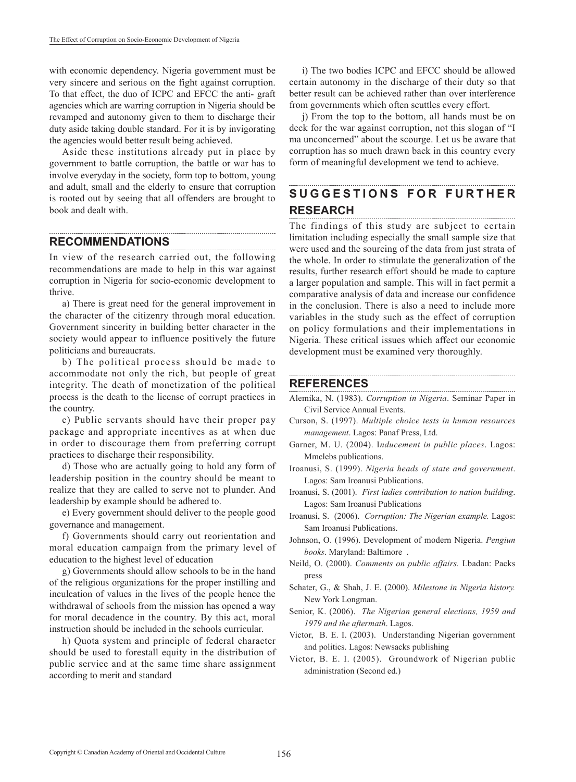with economic dependency. Nigeria government must be very sincere and serious on the fight against corruption. To that effect, the duo of ICPC and EFCC the anti- graft agencies which are warring corruption in Nigeria should be revamped and autonomy given to them to discharge their duty aside taking double standard. For it is by invigorating the agencies would better result being achieved.

Aside these institutions already put in place by government to battle corruption, the battle or war has to involve everyday in the society, form top to bottom, young and adult, small and the elderly to ensure that corruption is rooted out by seeing that all offenders are brought to book and dealt with.

#### **RECOMMENDATIONS**

In view of the research carried out, the following recommendations are made to help in this war against corruption in Nigeria for socio-economic development to thrive.

a) There is great need for the general improvement in the character of the citizenry through moral education. Government sincerity in building better character in the society would appear to influence positively the future politicians and bureaucrats.

b) The political process should be made to accommodate not only the rich, but people of great integrity. The death of monetization of the political process is the death to the license of corrupt practices in the country.

c) Public servants should have their proper pay package and appropriate incentives as at when due in order to discourage them from preferring corrupt practices to discharge their responsibility.

d) Those who are actually going to hold any form of leadership position in the country should be meant to realize that they are called to serve not to plunder. And leadership by example should be adhered to.

e) Every government should deliver to the people good governance and management.

f) Governments should carry out reorientation and moral education campaign from the primary level of education to the highest level of education

g) Governments should allow schools to be in the hand of the religious organizations for the proper instilling and inculcation of values in the lives of the people hence the withdrawal of schools from the mission has opened a way for moral decadence in the country. By this act, moral instruction should be included in the schools curricular.

h) Quota system and principle of federal character should be used to forestall equity in the distribution of public service and at the same time share assignment according to merit and standard

i) The two bodies ICPC and EFCC should be allowed certain autonomy in the discharge of their duty so that better result can be achieved rather than over interference from governments which often scuttles every effort.

j) From the top to the bottom, all hands must be on deck for the war against corruption, not this slogan of "I ma unconcerned" about the scourge. Let us be aware that corruption has so much drawn back in this country every form of meaningful development we tend to achieve.

#### **S U G G E S T I O N S F O R F U R T H E R RESEARCH**

The findings of this study are subject to certain limitation including especially the small sample size that were used and the sourcing of the data from just strata of the whole. In order to stimulate the generalization of the results, further research effort should be made to capture a larger population and sample. This will in fact permit a comparative analysis of data and increase our confidence in the conclusion. There is also a need to include more variables in the study such as the effect of corruption on policy formulations and their implementations in Nigeria. These critical issues which affect our economic development must be examined very thoroughly.

## **REFERENCES**

Alemika, N. (1983). *Corruption in Nigeria*. Seminar Paper in Civil Service Annual Events.

- Curson, S. (1997). *Multiple choice tests in human resources management*. Lagos: Panaf Press, Ltd.
- Garner, M. U. (2004). I*nducement in public places*. Lagos: Mmclebs publications.
- Iroanusi, S. (1999). *Nigeria heads of state and government*. Lagos: Sam Iroanusi Publications.
- Iroanusi, S. (2001). *First ladies contribution to nation building*. Lagos: Sam Iroanusi Publications
- Iroanusi, S. (2006). *Corruption: The Nigerian example.* Lagos: Sam Iroanusi Publications.
- Johnson, O. (1996). Development of modern Nigeria. *Pengiun books*. Maryland: Baltimore .
- Neild, O. (2000). *Comments on public affairs.* Lbadan: Packs press
- Schater, G., & Shah, J. E. (2000). *Milestone in Nigeria history.* New York Longman.
- Senior, K. (2006). *The Nigerian general elections, 1959 and 1979 and the aftermath*. Lagos.
- Victor, B. E. I. (2003). Understanding Nigerian government and politics. Lagos: Newsacks publishing
- Victor, B. E. I. (2005). Groundwork of Nigerian public administration (Second ed.)